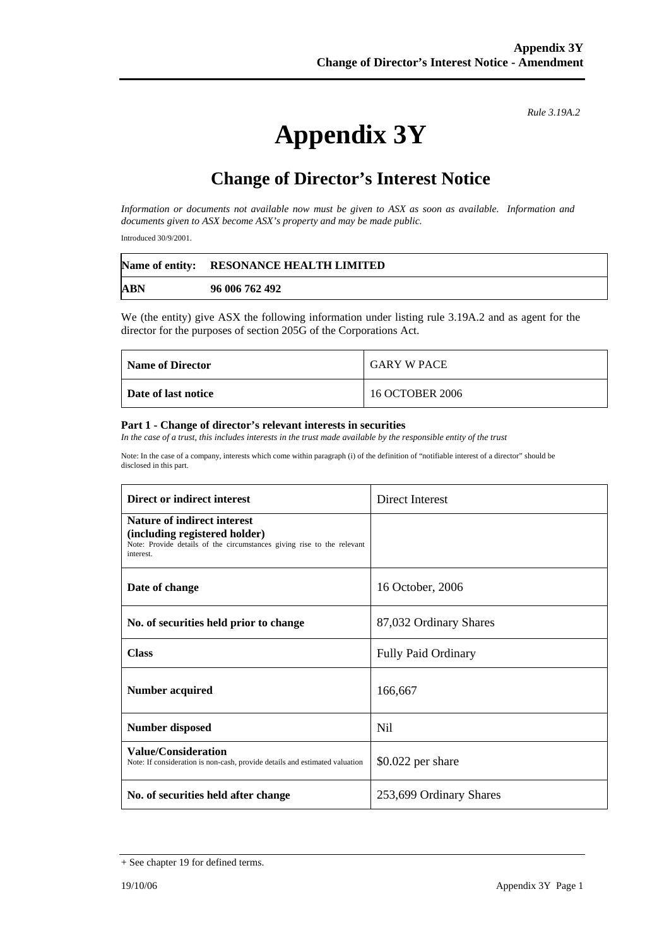*Rule 3.19A.2*

# **Appendix 3Y**

## **Change of Director's Interest Notice**

*Information or documents not available now must be given to ASX as soon as available. Information and documents given to ASX become ASX's property and may be made public.* 

Introduced 30/9/2001.

|     | Name of entity: RESONANCE HEALTH LIMITED |
|-----|------------------------------------------|
| ABN | 96 006 762 492                           |

We (the entity) give ASX the following information under listing rule 3.19A.2 and as agent for the director for the purposes of section 205G of the Corporations Act.

| <b>Name of Director</b> | <b>GARY W PACE</b> |
|-------------------------|--------------------|
| Date of last notice     | 16 OCTOBER 2006    |

#### **Part 1 - Change of director's relevant interests in securities**

*In the case of a trust, this includes interests in the trust made available by the responsible entity of the trust* 

Note: In the case of a company, interests which come within paragraph (i) of the definition of "notifiable interest of a director" should be disclosed in this part.

| Direct or indirect interest                                                                                                                                | Direct Interest         |
|------------------------------------------------------------------------------------------------------------------------------------------------------------|-------------------------|
| <b>Nature of indirect interest</b><br>(including registered holder)<br>Note: Provide details of the circumstances giving rise to the relevant<br>interest. |                         |
| Date of change                                                                                                                                             | 16 October, 2006        |
| No. of securities held prior to change                                                                                                                     | 87,032 Ordinary Shares  |
| <b>Class</b>                                                                                                                                               | Fully Paid Ordinary     |
| <b>Number acquired</b>                                                                                                                                     | 166,667                 |
| <b>Number disposed</b>                                                                                                                                     | Nil                     |
| <b>Value/Consideration</b><br>Note: If consideration is non-cash, provide details and estimated valuation                                                  | $$0.022$ per share      |
| No. of securities held after change                                                                                                                        | 253,699 Ordinary Shares |

<sup>+</sup> See chapter 19 for defined terms.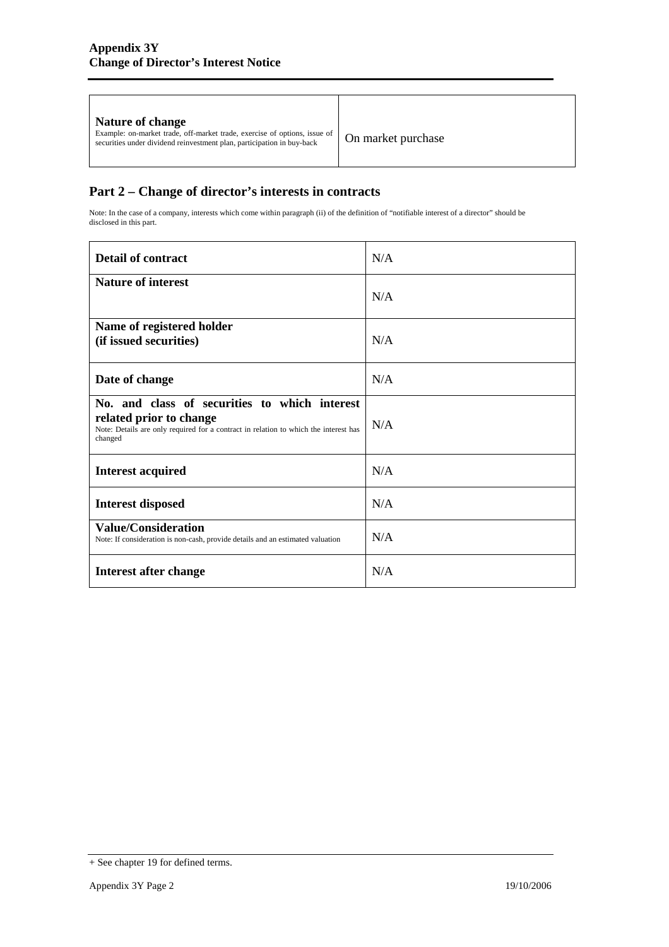| On market purchase<br>securities under dividend reinvestment plan, participation in buy-back |
|----------------------------------------------------------------------------------------------|
|----------------------------------------------------------------------------------------------|

### **Part 2 – Change of director's interests in contracts**

Note: In the case of a company, interests which come within paragraph (ii) of the definition of "notifiable interest of a director" should be disclosed in this part.

| <b>Detail of contract</b>                                                                                                                                                   | N/A |
|-----------------------------------------------------------------------------------------------------------------------------------------------------------------------------|-----|
| <b>Nature of interest</b>                                                                                                                                                   | N/A |
| Name of registered holder<br>(if issued securities)                                                                                                                         | N/A |
| Date of change                                                                                                                                                              | N/A |
| No. and class of securities to which interest<br>related prior to change<br>Note: Details are only required for a contract in relation to which the interest has<br>changed | N/A |
| <b>Interest acquired</b>                                                                                                                                                    | N/A |
| <b>Interest disposed</b>                                                                                                                                                    | N/A |
| <b>Value/Consideration</b><br>Note: If consideration is non-cash, provide details and an estimated valuation                                                                | N/A |
| Interest after change                                                                                                                                                       | N/A |

<sup>+</sup> See chapter 19 for defined terms.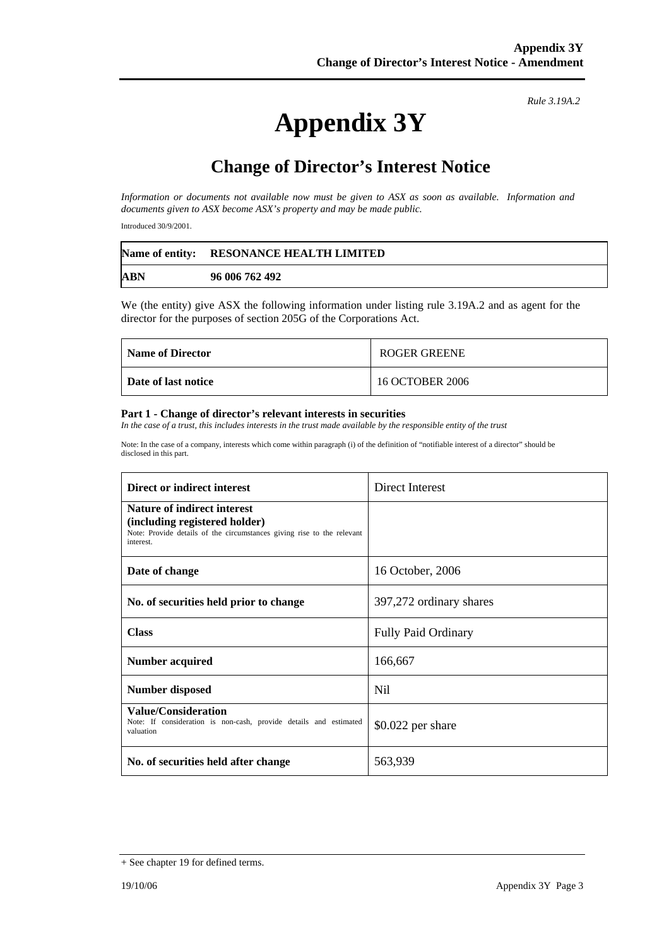# **Appendix 3Y**

*Rule 3.19A.2*

## **Change of Director's Interest Notice**

*Information or documents not available now must be given to ASX as soon as available. Information and documents given to ASX become ASX's property and may be made public.* 

Introduced 30/9/2001.

|            | Name of entity: RESONANCE HEALTH LIMITED |
|------------|------------------------------------------|
| <b>ABN</b> | 96 006 762 492                           |

We (the entity) give ASX the following information under listing rule 3.19A.2 and as agent for the director for the purposes of section 205G of the Corporations Act.

| <b>Name of Director</b> | ROGER GREENE    |
|-------------------------|-----------------|
| Date of last notice     | 16 OCTOBER 2006 |

#### **Part 1 - Change of director's relevant interests in securities**

In the case of a trust, this includes interests in the trust made available by the responsible entity of the trust

Note: In the case of a company, interests which come within paragraph (i) of the definition of "notifiable interest of a director" should be disclosed in this part.

| Direct or indirect interest                                                                                                                                | Direct Interest            |
|------------------------------------------------------------------------------------------------------------------------------------------------------------|----------------------------|
| <b>Nature of indirect interest</b><br>(including registered holder)<br>Note: Provide details of the circumstances giving rise to the relevant<br>interest. |                            |
| Date of change                                                                                                                                             | 16 October, 2006           |
| No. of securities held prior to change                                                                                                                     | 397,272 ordinary shares    |
| <b>Class</b>                                                                                                                                               | <b>Fully Paid Ordinary</b> |
| Number acquired                                                                                                                                            | 166,667                    |
| <b>Number disposed</b>                                                                                                                                     | Nil                        |
| <b>Value/Consideration</b><br>Note: If consideration is non-cash, provide details and estimated<br>valuation                                               | $$0.022$ per share         |
| No. of securities held after change                                                                                                                        | 563,939                    |

<sup>+</sup> See chapter 19 for defined terms.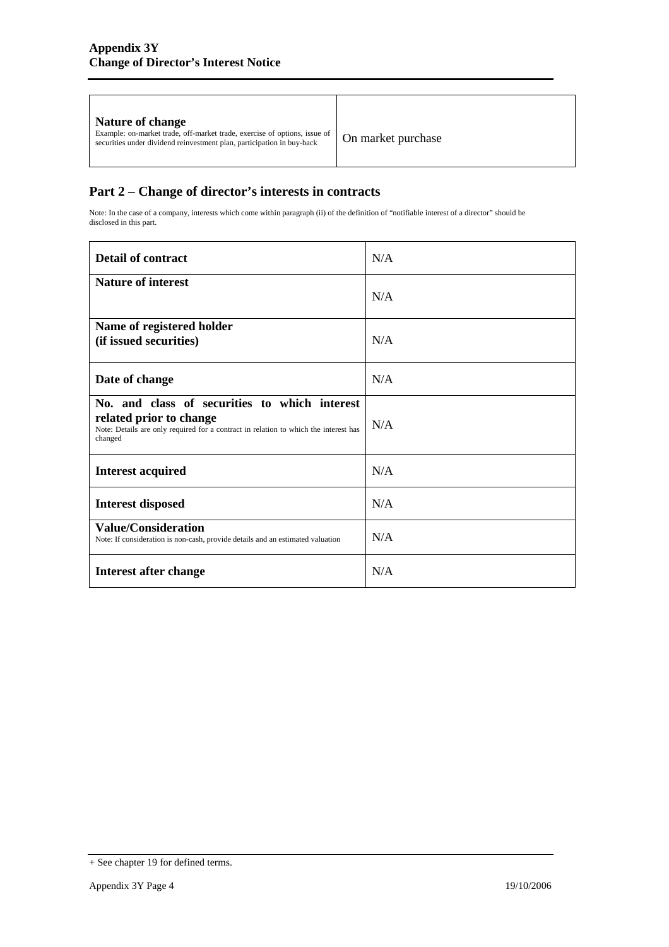### **Part 2 – Change of director's interests in contracts**

Note: In the case of a company, interests which come within paragraph (ii) of the definition of "notifiable interest of a director" should be disclosed in this part.

| <b>Detail of contract</b>                                                                                                                                                   | N/A |
|-----------------------------------------------------------------------------------------------------------------------------------------------------------------------------|-----|
| <b>Nature of interest</b>                                                                                                                                                   | N/A |
| Name of registered holder<br>(if issued securities)                                                                                                                         | N/A |
| Date of change                                                                                                                                                              | N/A |
| No. and class of securities to which interest<br>related prior to change<br>Note: Details are only required for a contract in relation to which the interest has<br>changed | N/A |
| <b>Interest acquired</b>                                                                                                                                                    | N/A |
| <b>Interest disposed</b>                                                                                                                                                    | N/A |
| <b>Value/Consideration</b><br>Note: If consideration is non-cash, provide details and an estimated valuation                                                                | N/A |
| Interest after change                                                                                                                                                       | N/A |

<sup>+</sup> See chapter 19 for defined terms.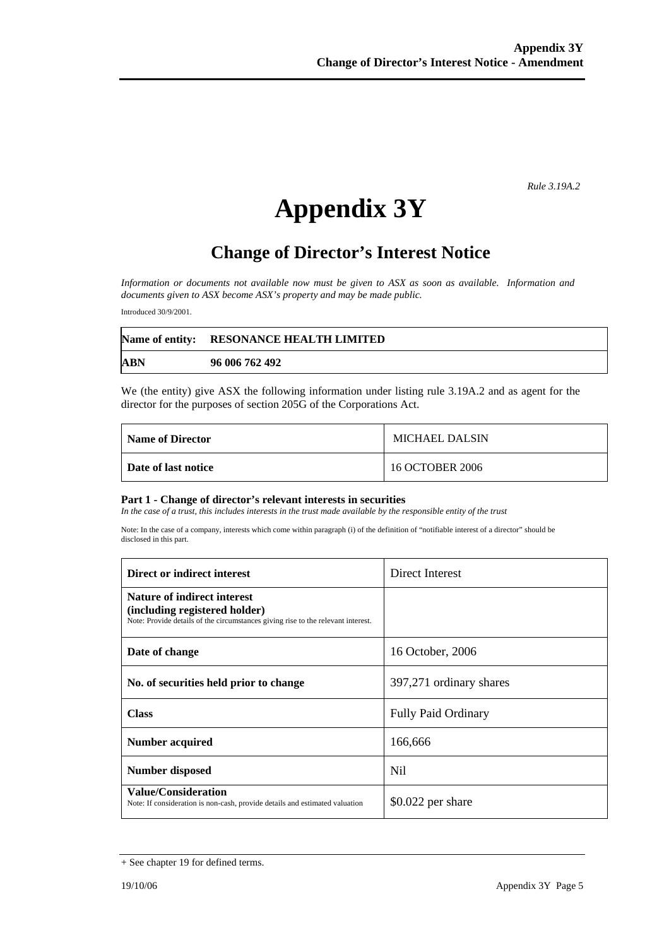*Rule 3.19A.2*

# **Appendix 3Y**

## **Change of Director's Interest Notice**

*Information or documents not available now must be given to ASX as soon as available. Information and documents given to ASX become ASX's property and may be made public.* 

Introduced 30/9/2001.

|            | Name of entity: RESONANCE HEALTH LIMITED |
|------------|------------------------------------------|
| <b>ABN</b> | 96 006 762 492                           |

We (the entity) give ASX the following information under listing rule 3.19A.2 and as agent for the director for the purposes of section 205G of the Corporations Act.

| Name of Director    | <b>MICHAEL DALSIN</b> |
|---------------------|-----------------------|
| Date of last notice | 16 OCTOBER 2006       |

#### **Part 1 - Change of director's relevant interests in securities**

In the case of a trust, this includes interests in the trust made available by the responsible entity of the trust

Note: In the case of a company, interests which come within paragraph (i) of the definition of "notifiable interest of a director" should be disclosed in this part.

| Direct or indirect interest                                                                                                                             | Direct Interest            |
|---------------------------------------------------------------------------------------------------------------------------------------------------------|----------------------------|
| <b>Nature of indirect interest</b><br>(including registered holder)<br>Note: Provide details of the circumstances giving rise to the relevant interest. |                            |
| Date of change                                                                                                                                          | 16 October, 2006           |
| No. of securities held prior to change                                                                                                                  | 397,271 ordinary shares    |
| <b>Class</b>                                                                                                                                            | <b>Fully Paid Ordinary</b> |
| Number acquired                                                                                                                                         | 166,666                    |
| Number disposed                                                                                                                                         | Nil                        |
| <b>Value/Consideration</b><br>Note: If consideration is non-cash, provide details and estimated valuation                                               | $$0.022$ per share         |

<sup>+</sup> See chapter 19 for defined terms.